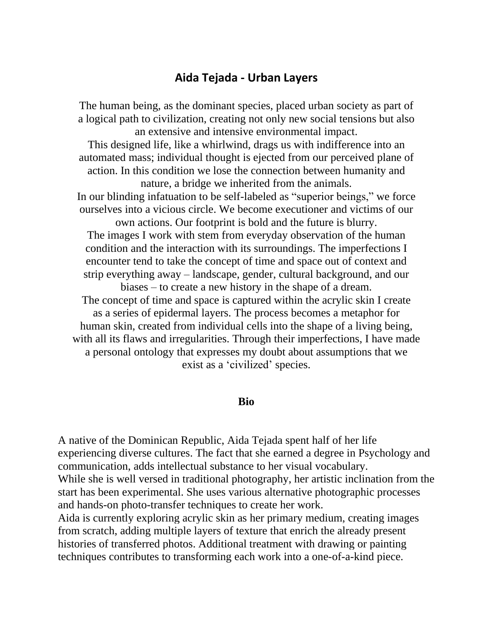## **Aida Tejada - Urban Layers**

The human being, as the dominant species, placed urban society as part of a logical path to civilization, creating not only new social tensions but also an extensive and intensive environmental impact.

This designed life, like a whirlwind, drags us with indifference into an automated mass; individual thought is ejected from our perceived plane of action. In this condition we lose the connection between humanity and nature, a bridge we inherited from the animals.

In our blinding infatuation to be self-labeled as "superior beings," we force ourselves into a vicious circle. We become executioner and victims of our own actions. Our footprint is bold and the future is blurry.

The images I work with stem from everyday observation of the human condition and the interaction with its surroundings. The imperfections I encounter tend to take the concept of time and space out of context and strip everything away – landscape, gender, cultural background, and our biases – to create a new history in the shape of a dream.

The concept of time and space is captured within the acrylic skin I create as a series of epidermal layers. The process becomes a metaphor for human skin, created from individual cells into the shape of a living being, with all its flaws and irregularities. Through their imperfections, I have made a personal ontology that expresses my doubt about assumptions that we exist as a 'civilized' species.

## **Bio**

A native of the Dominican Republic, Aida Tejada spent half of her life experiencing diverse cultures. The fact that she earned a degree in Psychology and communication, adds intellectual substance to her visual vocabulary. While she is well versed in traditional photography, her artistic inclination from the start has been experimental. She uses various alternative photographic processes and hands-on photo-transfer techniques to create her work.

Aida is currently exploring acrylic skin as her primary medium, creating images from scratch, adding multiple layers of texture that enrich the already present histories of transferred photos. Additional treatment with drawing or painting techniques contributes to transforming each work into a one-of-a-kind piece.